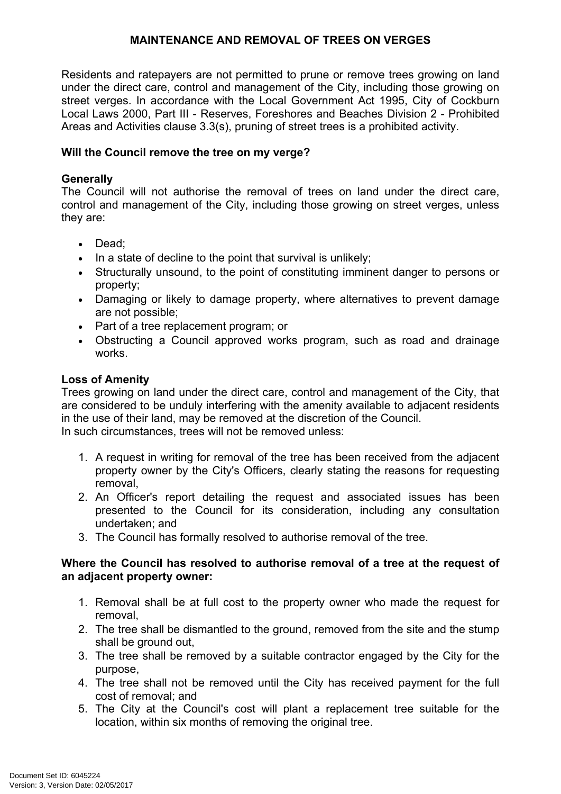Residents and ratepayers are not permitted to prune or remove trees growing on land under the direct care, control and management of the City, including those growing on street verges. In accordance with the Local Government Act 1995, City of Cockburn Local Laws 2000, Part III - Reserves, Foreshores and Beaches Division 2 - Prohibited Areas and Activities clause 3.3(s), pruning of street trees is a prohibited activity.

### **Will the Council remove the tree on my verge?**

### **Generally**

The Council will not authorise the removal of trees on land under the direct care, control and management of the City, including those growing on street verges, unless they are:

- Dead:
- $\bullet$  In a state of decline to the point that survival is unlikely;
- Structurally unsound, to the point of constituting imminent danger to persons or property;
- Damaging or likely to damage property, where alternatives to prevent damage are not possible;
- Part of a tree replacement program; or
- Obstructing a Council approved works program, such as road and drainage works.

## **Loss of Amenity**

Trees growing on land under the direct care, control and management of the City, that are considered to be unduly interfering with the amenity available to adjacent residents in the use of their land, may be removed at the discretion of the Council. In such circumstances, trees will not be removed unless:

- 1. A request in writing for removal of the tree has been received from the adjacent property owner by the City's Officers, clearly stating the reasons for requesting removal,
- 2. An Officer's report detailing the request and associated issues has been presented to the Council for its consideration, including any consultation undertaken; and
- 3. The Council has formally resolved to authorise removal of the tree.

## **Where the Council has resolved to authorise removal of a tree at the request of an adjacent property owner:**

- 1. Removal shall be at full cost to the property owner who made the request for removal,
- 2. The tree shall be dismantled to the ground, removed from the site and the stump shall be ground out,
- 3. The tree shall be removed by a suitable contractor engaged by the City for the purpose,
- 4. The tree shall not be removed until the City has received payment for the full cost of removal; and
- 5. The City at the Council's cost will plant a replacement tree suitable for the location, within six months of removing the original tree.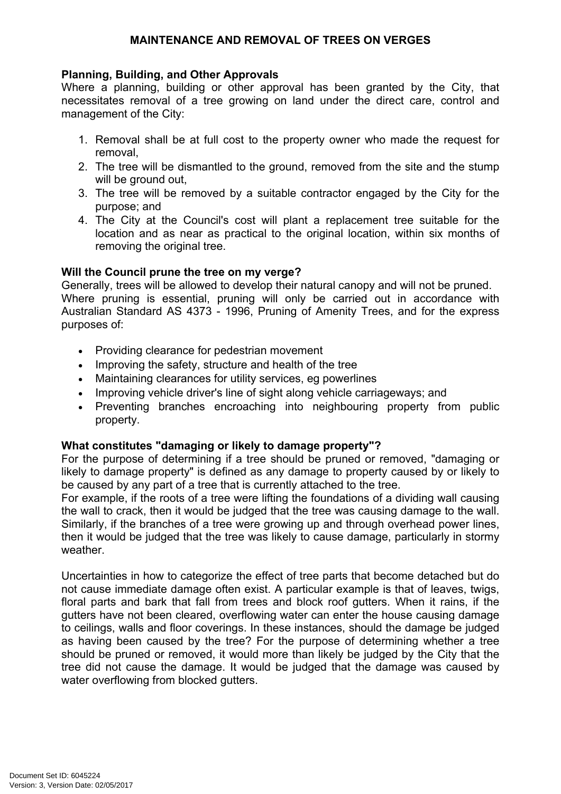## **Planning, Building, and Other Approvals**

Where a planning, building or other approval has been granted by the City, that necessitates removal of a tree growing on land under the direct care, control and management of the City:

- 1. Removal shall be at full cost to the property owner who made the request for removal,
- 2. The tree will be dismantled to the ground, removed from the site and the stump will be ground out,
- 3. The tree will be removed by a suitable contractor engaged by the City for the purpose; and
- 4. The City at the Council's cost will plant a replacement tree suitable for the location and as near as practical to the original location, within six months of removing the original tree.

# **Will the Council prune the tree on my verge?**

Generally, trees will be allowed to develop their natural canopy and will not be pruned. Where pruning is essential, pruning will only be carried out in accordance with Australian Standard AS 4373 - 1996, Pruning of Amenity Trees, and for the express purposes of:

- Providing clearance for pedestrian movement
- Improving the safety, structure and health of the tree
- Maintaining clearances for utility services, eg powerlines
- Improving vehicle driver's line of sight along vehicle carriageways; and
- Preventing branches encroaching into neighbouring property from public property.

## **What constitutes "damaging or likely to damage property"?**

For the purpose of determining if a tree should be pruned or removed, "damaging or likely to damage property" is defined as any damage to property caused by or likely to be caused by any part of a tree that is currently attached to the tree.

For example, if the roots of a tree were lifting the foundations of a dividing wall causing the wall to crack, then it would be judged that the tree was causing damage to the wall. Similarly, if the branches of a tree were growing up and through overhead power lines, then it would be judged that the tree was likely to cause damage, particularly in stormy weather.

Uncertainties in how to categorize the effect of tree parts that become detached but do not cause immediate damage often exist. A particular example is that of leaves, twigs, floral parts and bark that fall from trees and block roof gutters. When it rains, if the gutters have not been cleared, overflowing water can enter the house causing damage to ceilings, walls and floor coverings. In these instances, should the damage be judged as having been caused by the tree? For the purpose of determining whether a tree should be pruned or removed, it would more than likely be judged by the City that the tree did not cause the damage. It would be judged that the damage was caused by water overflowing from blocked gutters.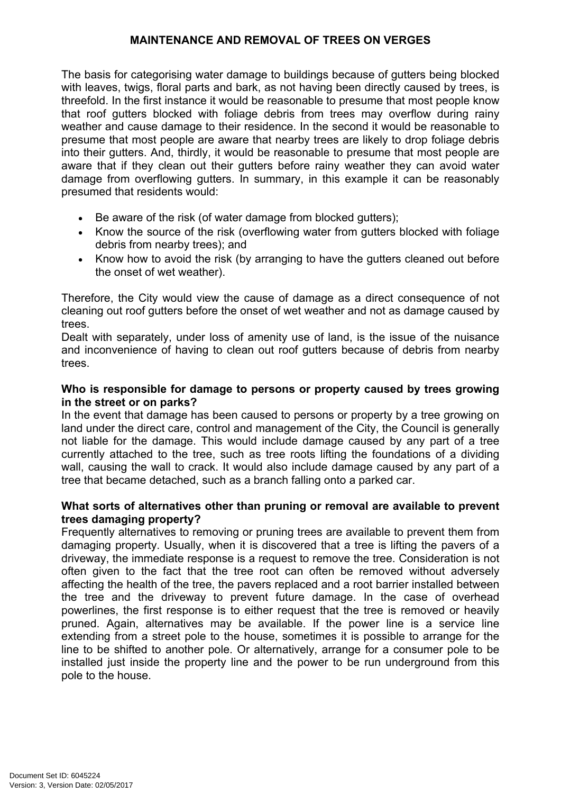The basis for categorising water damage to buildings because of gutters being blocked with leaves, twigs, floral parts and bark, as not having been directly caused by trees, is threefold. In the first instance it would be reasonable to presume that most people know that roof gutters blocked with foliage debris from trees may overflow during rainy weather and cause damage to their residence. In the second it would be reasonable to presume that most people are aware that nearby trees are likely to drop foliage debris into their gutters. And, thirdly, it would be reasonable to presume that most people are aware that if they clean out their gutters before rainy weather they can avoid water damage from overflowing gutters. In summary, in this example it can be reasonably presumed that residents would:

- Be aware of the risk (of water damage from blocked gutters);
- Know the source of the risk (overflowing water from gutters blocked with foliage debris from nearby trees); and
- Know how to avoid the risk (by arranging to have the gutters cleaned out before the onset of wet weather).

Therefore, the City would view the cause of damage as a direct consequence of not cleaning out roof gutters before the onset of wet weather and not as damage caused by trees.

Dealt with separately, under loss of amenity use of land, is the issue of the nuisance and inconvenience of having to clean out roof gutters because of debris from nearby trees.

### **Who is responsible for damage to persons or property caused by trees growing in the street or on parks?**

In the event that damage has been caused to persons or property by a tree growing on land under the direct care, control and management of the City, the Council is generally not liable for the damage. This would include damage caused by any part of a tree currently attached to the tree, such as tree roots lifting the foundations of a dividing wall, causing the wall to crack. It would also include damage caused by any part of a tree that became detached, such as a branch falling onto a parked car.

#### **What sorts of alternatives other than pruning or removal are available to prevent trees damaging property?**

Frequently alternatives to removing or pruning trees are available to prevent them from damaging property. Usually, when it is discovered that a tree is lifting the pavers of a driveway, the immediate response is a request to remove the tree. Consideration is not often given to the fact that the tree root can often be removed without adversely affecting the health of the tree, the pavers replaced and a root barrier installed between the tree and the driveway to prevent future damage. In the case of overhead powerlines, the first response is to either request that the tree is removed or heavily pruned. Again, alternatives may be available. If the power line is a service line extending from a street pole to the house, sometimes it is possible to arrange for the line to be shifted to another pole. Or alternatively, arrange for a consumer pole to be installed just inside the property line and the power to be run underground from this pole to the house.